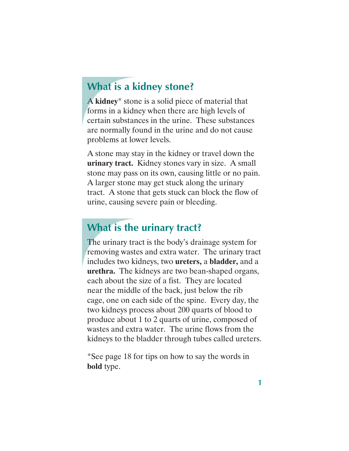## **What is a kidney stone?**

A **kidney**\* stone is a solid piece of material that forms in a kidney when there are high levels of certain substances in the urine. These substances are normally found in the urine and do not cause problems at lower levels.

A stone may stay in the kidney or travel down the **urinary tract.** Kidney stones vary in size. A small stone may pass on its own, causing little or no pain. A larger stone may get stuck along the urinary tract. A stone that gets stuck can block the flow of urine, causing severe pain or bleeding.

## **What is the urinary tract?**

The urinary tract is the body's drainage system for removing wastes and extra water. The urinary tract includes two kidneys, two **ureters,** a **bladder,** and a **urethra.** The kidneys are two bean-shaped organs, each about the size of a fist. They are located near the middle of the back, just below the rib cage, one on each side of the spine. Every day, the two kidneys process about 200 quarts of blood to produce about 1 to 2 quarts of urine, composed of wastes and extra water. The urine flows from the kidneys to the bladder through tubes called ureters.

\*See page 18 for tips on how to say the words in **bold** type.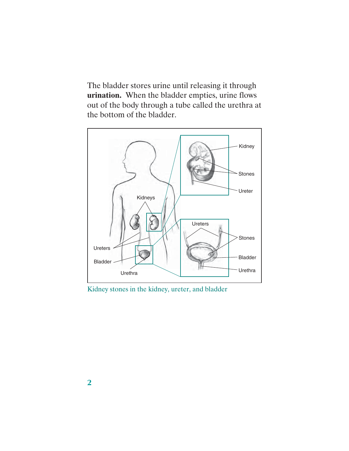The bladder stores urine until releasing it through **urination.** When the bladder empties, urine flows out of the body through a tube called the urethra at the bottom of the bladder.



Kidney stones in the kidney, ureter, and bladder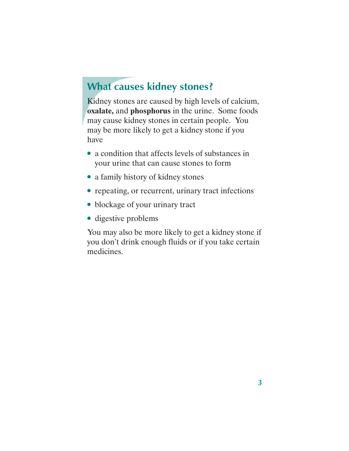## **What causes kidney stones?**

Kidney stones are caused by high levels of calcium, **oxalate,** and **phosphorus** in the urine. Some foods may cause kidney stones in certain people. You may be more likely to get a kidney stone if you have

- a condition that affects levels of substances in your urine that can cause stones to form
- a family history of kidney stones
- repeating, or recurrent, urinary tract infections
- blockage of your urinary tract
- digestive problems

You may also be more likely to get a kidney stone if you don't drink enough fluids or if you take certain medicines.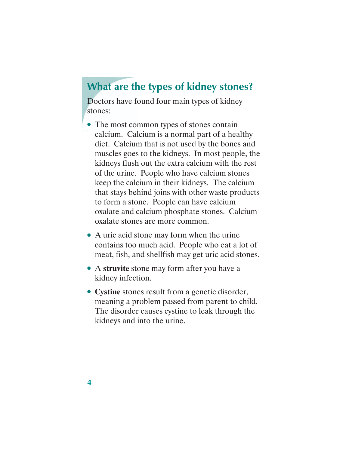### **What are the types of kidney stones?**

Doctors have found four main types of kidney stones:

- The most common types of stones contain calcium. Calcium is a normal part of a healthy diet. Calcium that is not used by the bones and muscles goes to the kidneys. In most people, the kidneys flush out the extra calcium with the rest of the urine. People who have calcium stones keep the calcium in their kidneys. The calcium that stays behind joins with other waste products to form a stone. People can have calcium oxalate and calcium phosphate stones. Calcium oxalate stones are more common.
- A uric acid stone may form when the urine contains too much acid. People who eat a lot of meat, fish, and shellfish may get uric acid stones.
- A **struvite** stone may form after you have a kidney infection.
- **Cystine** stones result from a genetic disorder, meaning a problem passed from parent to child. The disorder causes cystine to leak through the kidneys and into the urine.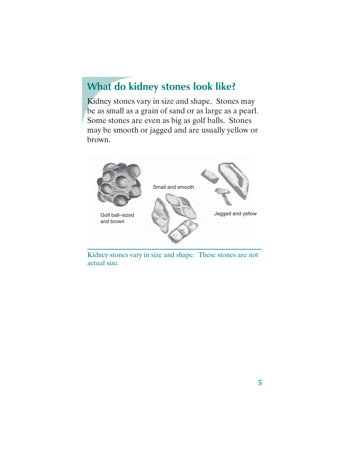# **What do kidney stones look like?**

Kidney stones vary in size and shape. Stones may be as small as a grain of sand or as large as a pearl. Some stones are even as big as golf balls. Stones may be smooth or jagged and are usually yellow or brown.



Kidney stones vary in size and shape. These stones are not actual size.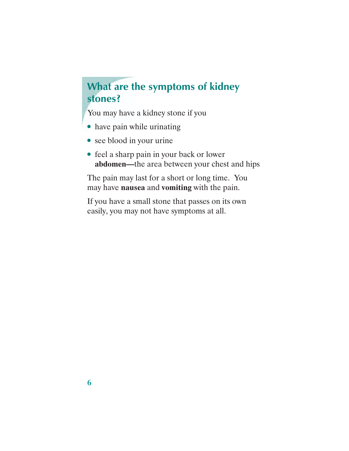# **What are the symptoms of kidney stones?**

You may have a kidney stone if you

- have pain while urinating
- see blood in your urine
- feel a sharp pain in your back or lower **abdomen—**the area between your chest and hips

The pain may last for a short or long time. You may have **nausea** and **vomiting** with the pain.

If you have a small stone that passes on its own easily, you may not have symptoms at all.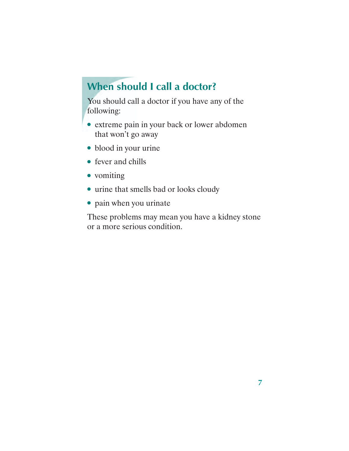# **When should I call a doctor?**

You should call a doctor if you have any of the following:

- extreme pain in your back or lower abdomen that won't go away
- blood in your urine
- fever and chills
- vomiting
- urine that smells bad or looks cloudy
- pain when you urinate

These problems may mean you have a kidney stone or a more serious condition.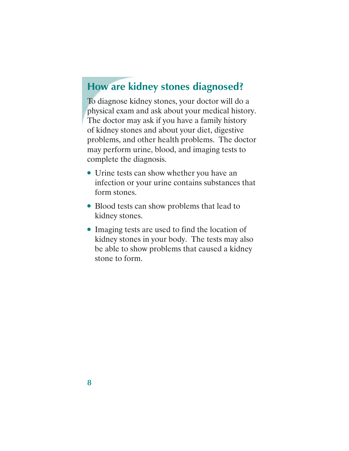### **How are kidney stones diagnosed?**

To diagnose kidney stones, your doctor will do a physical exam and ask about your medical history. The doctor may ask if you have a family history of kidney stones and about your diet, digestive problems, and other health problems. The doctor may perform urine, blood, and imaging tests to complete the diagnosis.

- Urine tests can show whether you have an infection or your urine contains substances that form stones.
- Blood tests can show problems that lead to kidney stones.
- Imaging tests are used to find the location of kidney stones in your body. The tests may also be able to show problems that caused a kidney stone to form.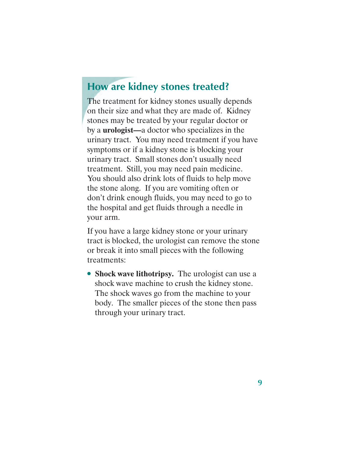### **How are kidney stones treated?**

The treatment for kidney stones usually depends on their size and what they are made of. Kidney stones may be treated by your regular doctor or by a **urologist—**a doctor who specializes in the urinary tract. You may need treatment if you have symptoms or if a kidney stone is blocking your urinary tract. Small stones don't usually need treatment. Still, you may need pain medicine. You should also drink lots of fluids to help move the stone along. If you are vomiting often or don't drink enough fluids, you may need to go to the hospital and get fluids through a needle in your arm.

If you have a large kidney stone or your urinary tract is blocked, the urologist can remove the stone or break it into small pieces with the following treatments:

• **Shock wave lithotripsy.** The urologist can use a shock wave machine to crush the kidney stone. The shock waves go from the machine to your body. The smaller pieces of the stone then pass through your urinary tract.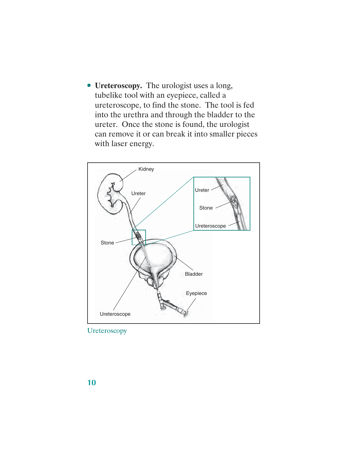● **Ureteroscopy.** The urologist uses a long, tubelike tool with an eyepiece, called a ureteroscope, to find the stone. The tool is fed into the urethra and through the bladder to the ureter. Once the stone is found, the urologist can remove it or can break it into smaller pieces with laser energy.



**Ureteroscopy**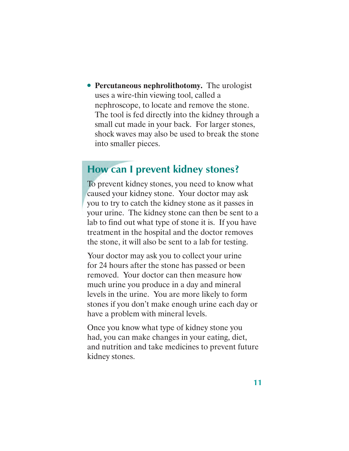● **Percutaneous nephrolithotomy.** The urologist uses a wire-thin viewing tool, called a nephroscope, to locate and remove the stone. The tool is fed directly into the kidney through a small cut made in your back. For larger stones, shock waves may also be used to break the stone into smaller pieces.

### **How can I prevent kidney stones?**

To prevent kidney stones, you need to know what caused your kidney stone. Your doctor may ask you to try to catch the kidney stone as it passes in your urine. The kidney stone can then be sent to a lab to find out what type of stone it is. If you have treatment in the hospital and the doctor removes the stone, it will also be sent to a lab for testing.

Your doctor may ask you to collect your urine for 24 hours after the stone has passed or been removed. Your doctor can then measure how much urine you produce in a day and mineral levels in the urine. You are more likely to form stones if you don't make enough urine each day or have a problem with mineral levels.

Once you know what type of kidney stone you had, you can make changes in your eating, diet, and nutrition and take medicines to prevent future kidney stones.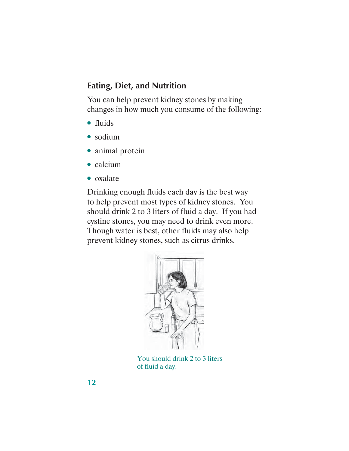#### **Eating, Diet, and Nutrition**

You can help prevent kidney stones by making changes in how much you consume of the following:

- fluids
- sodium
- animal protein
- calcium
- oxalate

Drinking enough fluids each day is the best way to help prevent most types of kidney stones. You should drink 2 to 3 liters of fluid a day. If you had cystine stones, you may need to drink even more. Though water is best, other fluids may also help prevent kidney stones, such as citrus drinks.



You should drink 2 to 3 liters of fluid a day.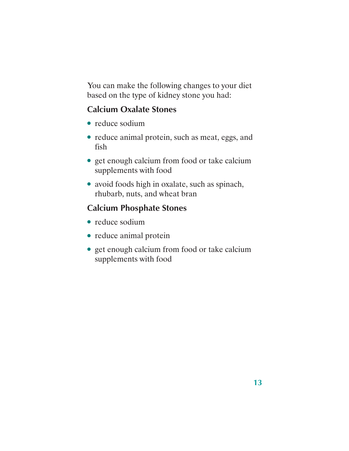You can make the following changes to your diet based on the type of kidney stone you had:

### **Calcium Oxalate Stones**

- reduce sodium
- reduce animal protein, such as meat, eggs, and fish
- get enough calcium from food or take calcium supplements with food
- avoid foods high in oxalate, such as spinach, rhubarb, nuts, and wheat bran

### **Calcium Phosphate Stones**

- reduce sodium
- reduce animal protein
- get enough calcium from food or take calcium supplements with food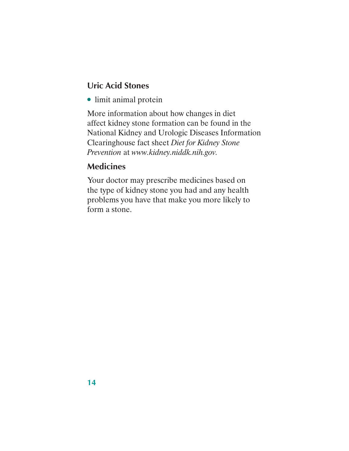### **Uric Acid Stones**

● limit animal protein

More information about how changes in diet affect kidney stone formation can be found in the National Kidney and Urologic Diseases Information Clearinghouse fact sheet *Diet for Kidney Stone Prevention* at *www.kidney.niddk.nih.gov.* 

### **Medicines**

Your doctor may prescribe medicines based on the type of kidney stone you had and any health problems you have that make you more likely to form a stone.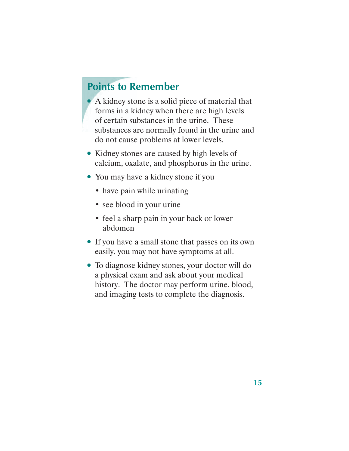### **Points to Remember**

● A kidney stone is a solid piece of material that forms in a kidney when there are high levels of certain substances in the urine. These substances are normally found in the urine and do not cause problems at lower levels.

- Kidney stones are caused by high levels of calcium, oxalate, and phosphorus in the urine.
- You may have a kidney stone if you
	- have pain while urinating
	- see blood in your urine
	- feel a sharp pain in your back or lower abdomen
- If you have a small stone that passes on its own easily, you may not have symptoms at all.
- To diagnose kidney stones, your doctor will do a physical exam and ask about your medical history. The doctor may perform urine, blood, and imaging tests to complete the diagnosis.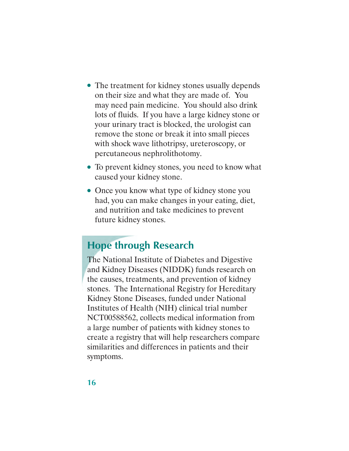- The treatment for kidney stones usually depends on their size and what they are made of. You may need pain medicine. You should also drink lots of fluids. If you have a large kidney stone or your urinary tract is blocked, the urologist can remove the stone or break it into small pieces with shock wave lithotripsy, ureteroscopy, or percutaneous nephrolithotomy.
- To prevent kidney stones, you need to know what caused your kidney stone.
- Once you know what type of kidney stone you had, you can make changes in your eating, diet, and nutrition and take medicines to prevent future kidney stones.

## **Hope through Research**

The National Institute of Diabetes and Digestive and Kidney Diseases (NIDDK) funds research on the causes, treatments, and prevention of kidney stones. The International Registry for Hereditary Kidney Stone Diseases, funded under National Institutes of Health (NIH) clinical trial number NCT00588562, collects medical information from a large number of patients with kidney stones to create a registry that will help researchers compare similarities and differences in patients and their symptoms.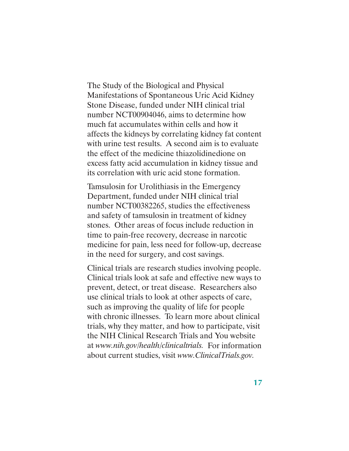The Study of the Biological and Physical Manifestations of Spontaneous Uric Acid Kidney Stone Disease, funded under NIH clinical trial number NCT00904046, aims to determine how much fat accumulates within cells and how it affects the kidneys by correlating kidney fat content with urine test results. A second aim is to evaluate the effect of the medicine thiazolidinedione on excess fatty acid accumulation in kidney tissue and its correlation with uric acid stone formation.

Tamsulosin for Urolithiasis in the Emergency Department, funded under NIH clinical trial number NCT00382265, studies the effectiveness and safety of tamsulosin in treatment of kidney stones. Other areas of focus include reduction in time to pain-free recovery, decrease in narcotic medicine for pain, less need for follow-up, decrease in the need for surgery, and cost savings.

Clinical trials are research studies involving people. Clinical trials look at safe and effective new ways to prevent, detect, or treat disease. Researchers also use clinical trials to look at other aspects of care, such as improving the quality of life for people with chronic illnesses. To learn more about clinical trials, why they matter, and how to participate, visit the NIH Clinical Research Trials and You website at *www.nih.gov/health/clinicaltrials.* For information about current studies, visit *www.ClinicalTrials.gov.*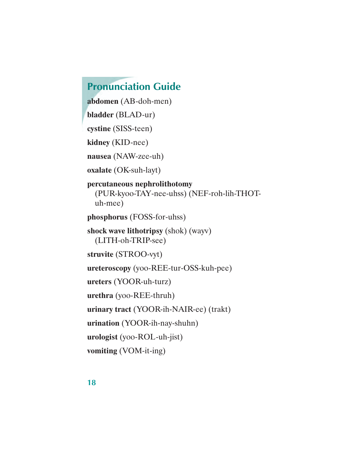# **Pronunciation Guide**

**abdomen** (AB-doh-men) **bladder** (BLAD-ur) **cystine** (SISS-teen) **kidney** (KID-nee) **nausea** (NAW-zee-uh) **oxalate** (OK-suh-layt) **percutaneous nephrolithotomy**  (PUR-kyoo-TAY-nee-uhss) (NEF-roh-lih-THOTuh-mee) **phosphorus** (FOSS-for-uhss) **shock wave lithotripsy** (shok) (wayv) (LITH-oh-TRIP-see) **struvite** (STROO-vyt) **ureteroscopy** (yoo-REE-tur-OSS-kuh-pee) **ureters** (YOOR-uh-turz) **urethra** (yoo-REE-thruh) **urinary tract** (YOOR-ih-NAIR-ee) (trakt) **urination** (YOOR-ih-nay-shuhn) **urologist** (yoo-ROL-uh-jist) **vomiting** (VOM-it-ing)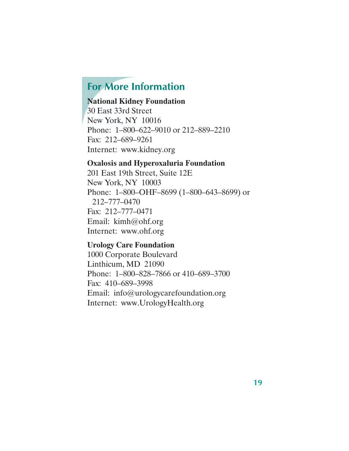### **For More Information**

#### **National Kidney Foundation**

30 East 33rd Street New York, NY 10016 Phone: 1–800–622–9010 or 212–889–2210 Fax: 212–689–9261 Internet: www.kidney.org

#### **Oxalosis and Hyperoxaluria Foundation**

201 East 19th Street, Suite 12E New York, NY 10003 Phone: 1–800–OHF–8699 (1–800–643–8699) or 212–777–0470 Fax: 212–777–0471 Email: kimh@ohf.org Internet: www.ohf.org

#### **Urology Care Foundation**

1000 Corporate Boulevard Linthicum, MD 21090 Phone: 1–800–828–7866 or 410–689–3700 Fax: 410–689–3998 Email: info@urologycarefoundation.org Internet: www.UrologyHealth.org